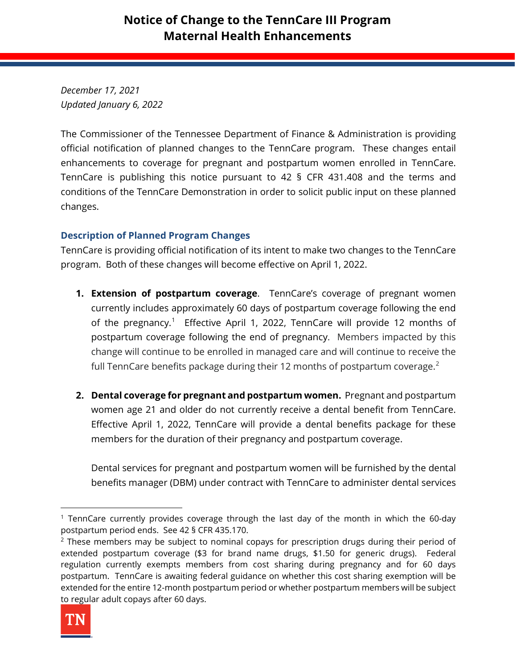*December 17, 2021 Updated January 6, 2022*

The Commissioner of the Tennessee Department of Finance & Administration is providing official notification of planned changes to the TennCare program. These changes entail enhancements to coverage for pregnant and postpartum women enrolled in TennCare. TennCare is publishing this notice pursuant to 42 § CFR 431.408 and the terms and conditions of the TennCare Demonstration in order to solicit public input on these planned changes.

## **Description of Planned Program Changes**

TennCare is providing official notification of its intent to make two changes to the TennCare program. Both of these changes will become effective on April 1, 2022.

- **1. Extension of postpartum coverage**. TennCare's coverage of pregnant women currently includes approximately 60 days of postpartum coverage following the end of the pregnancy.<sup>[1](#page-0-0)</sup> Effective April 1, 2022, TennCare will provide 12 months of postpartum coverage following the end of pregnancy. Members impacted by this change will continue to be enrolled in managed care and will continue to receive the full TennCare benefits package during their 1[2](#page-0-1) months of postpartum coverage. $2$
- **2. Dental coverage for pregnant and postpartum women.** Pregnant and postpartum women age 21 and older do not currently receive a dental benefit from TennCare. Effective April 1, 2022, TennCare will provide a dental benefits package for these members for the duration of their pregnancy and postpartum coverage.

Dental services for pregnant and postpartum women will be furnished by the dental benefits manager (DBM) under contract with TennCare to administer dental services

<span id="page-0-1"></span><sup>&</sup>lt;sup>2</sup> These members may be subject to nominal copays for prescription drugs during their period of extended postpartum coverage (\$3 for brand name drugs, \$1.50 for generic drugs). Federal regulation currently exempts members from cost sharing during pregnancy and for 60 days postpartum. TennCare is awaiting federal guidance on whether this cost sharing exemption will be extended for the entire 12-month postpartum period or whether postpartum members will be subject to regular adult copays after 60 days.



<span id="page-0-0"></span><sup>&</sup>lt;sup>1</sup> TennCare currently provides coverage through the last day of the month in which the 60-day postpartum period ends. See 42 § CFR 435.170.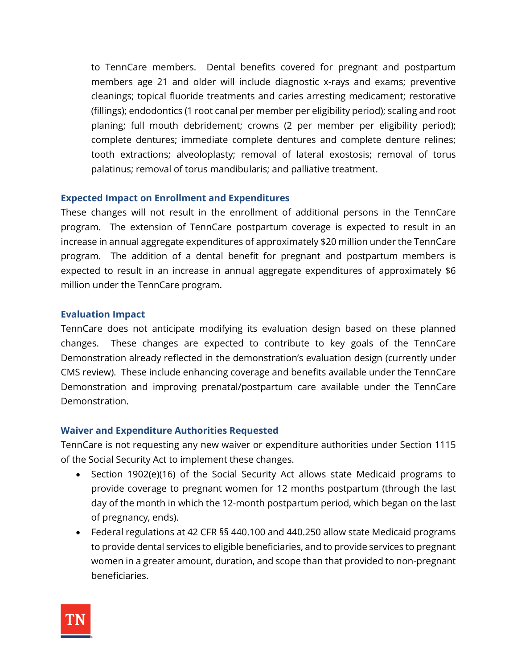to TennCare members. Dental benefits covered for pregnant and postpartum members age 21 and older will include diagnostic x-rays and exams; preventive cleanings; topical fluoride treatments and caries arresting medicament; restorative (fillings); endodontics (1 root canal per member per eligibility period); scaling and root planing; full mouth debridement; crowns (2 per member per eligibility period); complete dentures; immediate complete dentures and complete denture relines; tooth extractions; alveoloplasty; removal of lateral exostosis; removal of torus palatinus; removal of torus mandibularis; and palliative treatment.

#### **Expected Impact on Enrollment and Expenditures**

These changes will not result in the enrollment of additional persons in the TennCare program. The extension of TennCare postpartum coverage is expected to result in an increase in annual aggregate expenditures of approximately \$20 million under the TennCare program. The addition of a dental benefit for pregnant and postpartum members is expected to result in an increase in annual aggregate expenditures of approximately \$6 million under the TennCare program.

#### **Evaluation Impact**

TennCare does not anticipate modifying its evaluation design based on these planned changes. These changes are expected to contribute to key goals of the TennCare Demonstration already reflected in the demonstration's evaluation design (currently under CMS review). These include enhancing coverage and benefits available under the TennCare Demonstration and improving prenatal/postpartum care available under the TennCare Demonstration.

#### **Waiver and Expenditure Authorities Requested**

TennCare is not requesting any new waiver or expenditure authorities under Section 1115 of the Social Security Act to implement these changes.

- Section 1902(e)(16) of the Social Security Act allows state Medicaid programs to provide coverage to pregnant women for 12 months postpartum (through the last day of the month in which the 12-month postpartum period, which began on the last of pregnancy, ends).
- Federal regulations at 42 CFR §§ 440.100 and 440.250 allow state Medicaid programs to provide dental services to eligible beneficiaries, and to provide services to pregnant women in a greater amount, duration, and scope than that provided to non-pregnant beneficiaries.

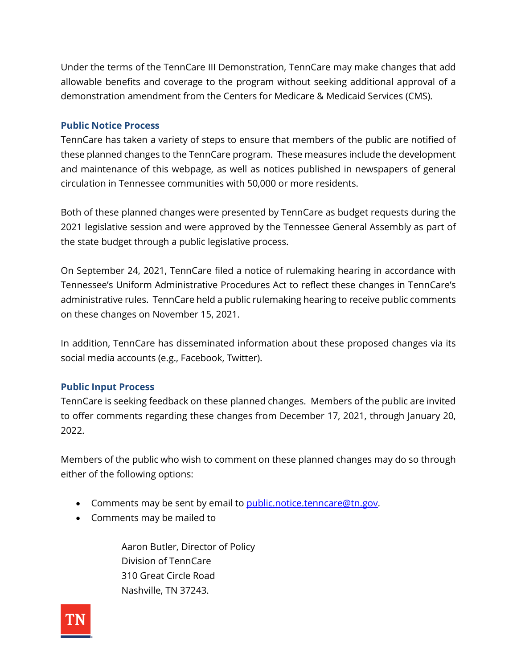Under the terms of the TennCare III Demonstration, TennCare may make changes that add allowable benefits and coverage to the program without seeking additional approval of a demonstration amendment from the Centers for Medicare & Medicaid Services (CMS).

### **Public Notice Process**

TennCare has taken a variety of steps to ensure that members of the public are notified of these planned changes to the TennCare program. These measures include the development and maintenance of this webpage, as well as notices published in newspapers of general circulation in Tennessee communities with 50,000 or more residents.

Both of these planned changes were presented by TennCare as budget requests during the 2021 legislative session and were approved by the Tennessee General Assembly as part of the state budget through a public legislative process.

On September 24, 2021, TennCare filed a notice of rulemaking hearing in accordance with Tennessee's Uniform Administrative Procedures Act to reflect these changes in TennCare's administrative rules. TennCare held a public rulemaking hearing to receive public comments on these changes on November 15, 2021.

In addition, TennCare has disseminated information about these proposed changes via its social media accounts (e.g., Facebook, Twitter).

## **Public Input Process**

TennCare is seeking feedback on these planned changes. Members of the public are invited to offer comments regarding these changes from December 17, 2021, through January 20, 2022.

Members of the public who wish to comment on these planned changes may do so through either of the following options:

- Comments may be sent by email to [public.notice.tenncare@tn.gov.](mailto:public.notice.tenncare@tn.gov)
- Comments may be mailed to

Aaron Butler, Director of Policy Division of TennCare 310 Great Circle Road Nashville, TN 37243.